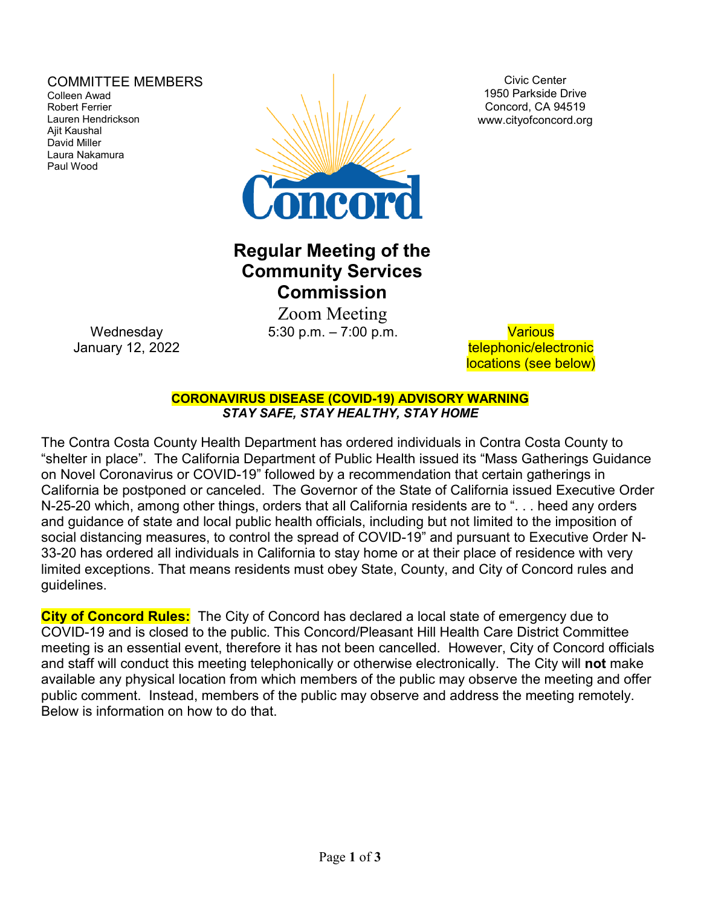### COMMITTEE MEMBERS

Colleen Awad Robert Ferrier Lauren Hendrickson Ajit Kaushal David Miller Laura Nakamura Paul Wood



Civic Center 1950 Parkside Drive Concord, CA 94519 www.cityofconcord.org

# **Regular Meeting of the Community Services Commission**

 Zoom Meeting 5:30 p.m. – 7:00 p.m. Various

telephonic/electronic locations (see below)

**CORONAVIRUS DISEASE (COVID-19) ADVISORY WARNING** *STAY SAFE, STAY HEALTHY, STAY HOME*

The Contra Costa County Health Department has ordered individuals in Contra Costa County to "shelter in place". The California Department of Public Health issued its "Mass Gatherings Guidance on Novel Coronavirus or COVID-19" followed by a recommendation that certain gatherings in California be postponed or canceled. The Governor of the State of California issued Executive Order N-25-20 which, among other things, orders that all California residents are to ". . . heed any orders and guidance of state and local public health officials, including but not limited to the imposition of social distancing measures, to control the spread of COVID-19" and pursuant to Executive Order N-33-20 has ordered all individuals in California to stay home or at their place of residence with very limited exceptions. That means residents must obey State, County, and City of Concord rules and guidelines.

**City of Concord Rules:** The City of Concord has declared a local state of emergency due to COVID-19 and is closed to the public. This Concord/Pleasant Hill Health Care District Committee meeting is an essential event, therefore it has not been cancelled. However, City of Concord officials and staff will conduct this meeting telephonically or otherwise electronically. The City will **not** make available any physical location from which members of the public may observe the meeting and offer public comment. Instead, members of the public may observe and address the meeting remotely. Below is information on how to do that.

**Wednesday** January 12, 2022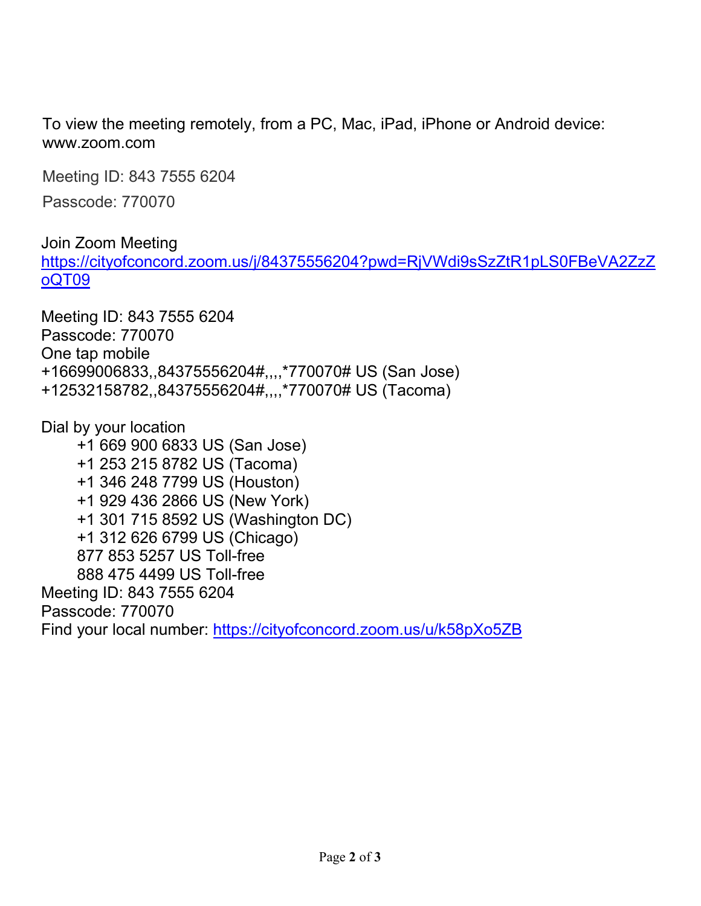To view the meeting remotely, from a PC, Mac, iPad, iPhone or Android device: www.zoom.com

Meeting ID: 843 7555 6204

Passcode: 770070

Join Zoom Meeting [https://cityofconcord.zoom.us/j/84375556204?pwd=RjVWdi9sSzZtR1pLS0FBeVA2ZzZ](https://cityofconcord.zoom.us/j/84375556204?pwd=RjVWdi9sSzZtR1pLS0FBeVA2ZzZoQT09) [oQT09](https://cityofconcord.zoom.us/j/84375556204?pwd=RjVWdi9sSzZtR1pLS0FBeVA2ZzZoQT09)

Meeting ID: 843 7555 6204 Passcode: 770070 One tap mobile +16699006833,,84375556204#,,,,\*770070# US (San Jose) +12532158782,,84375556204#,,,,\*770070# US (Tacoma)

Dial by your location +1 669 900 6833 US (San Jose) +1 253 215 8782 US (Tacoma) +1 346 248 7799 US (Houston) +1 929 436 2866 US (New York) +1 301 715 8592 US (Washington DC) +1 312 626 6799 US (Chicago) 877 853 5257 US Toll-free 888 475 4499 US Toll-free Meeting ID: 843 7555 6204 Passcode: 770070 Find your local number:<https://cityofconcord.zoom.us/u/k58pXo5ZB>